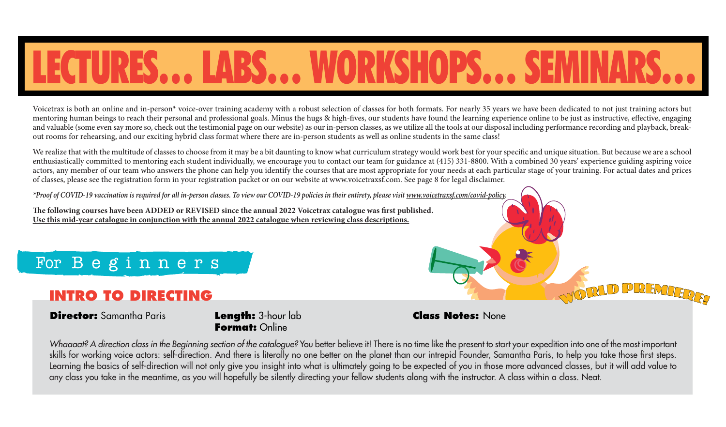# LECTURES… LABS… WORKSHOPS… SEMINARS…

Voicetrax is both an online and in-person\* voice-over training academy with a robust selection of classes for both formats. For nearly 35 years we have been dedicated to not just training actors but mentoring human beings to reach their personal and professional goals. Minus the hugs & high-fives, our students have found the learning experience online to be just as instructive, effective, engaging and valuable (some even say more so, check out the testimonial page on our website) as our in-person classes, as we utilize all the tools at our disposal including performance recording and playback, breakout rooms for rehearsing, and our exciting hybrid class format where there are in-person students as well as online students in the same class!

We realize that with the multitude of classes to choose from it may be a bit daunting to know what curriculum strategy would work best for your specific and unique situation. But because we are a school enthusiastically committed to mentoring each student individually, we encourage you to contact our team for guidance at (415) 331-8800. With a combined 30 years' experience guiding aspiring voice actors, any member of our team who answers the phone can help you identify the courses that are most appropriate for your needs at each particular stage of your training. For actual dates and prices of classes, please see the registration form in your registration packet or on our website at www.voicetraxsf.com. See page 8 for legal disclaimer.

*\*Proof of COVID-19 vaccination is required for all in-person classes. To view our COVID-19 policies in their entirety, please visit www.voicetraxsf.com/covid-policy.*

The following courses have been ADDED or REVISED since the annual 2022 Voicetrax catalogue was first published. **Use this mid-year catalogue in conjunction with the annual 2022 catalogue when reviewing class descriptions.**

### For Beginners

#### **INTRO TO DIRECTING**

#### **Director:** Samantha Paris **Length:** 3-hour lab

**Format:** Online

#### **Class Notes:** None

*Whaaaat? A direction class in the Beginning section of the catalogue?* You better believe it! There is no time like the present to start your expedition into one of the most important skills for working voice actors: self-direction. And there is literally no one better on the planet than our intrepid Founder, Samantha Paris, to help you take those first steps. Learning the basics of self-direction will not only give you insight into what is ultimately going to be expected of you in those more advanced classes, but it will add value to any class you take in the meantime, as you will hopefully be silently directing your fellow students along with the instructor. A class within a class. Neat.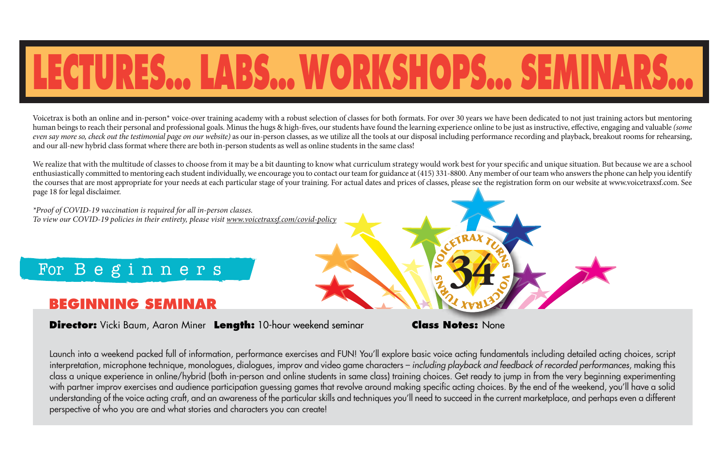# **LECTURES… LABS…WORKSHOPS… SEMINARS…**

Voicetrax is both an online and in-person\* voice-over training academy with a robust selection of classes for both formats. For over 30 years we have been dedicated to not just training actors but mentoring human beings to reach their personal and professional goals. Minus the hugs & high-fives, our students have found the learning experience online to be just as instructive, effective, engaging and valuable *(some*) *even say more so, check out the testimonial page on our website*) as our in-person classes, as we utilize all the tools at our disposal including performance recording and playback, breakout rooms for rehearsing, and our all-new hybrid class format where there are both in-person students as well as online students in the same class!

We realize that with the multitude of classes to choose from it may be a bit daunting to know what curriculum strategy would work best for your specific and unique situation. But because we are a school enthusiastically committed to mentoring each student individually, we encourage you to contact our team for guidance at (415) 331-8800. Any member of our team who answers the phone can help you identify the courses that are most appropriate for your needs at each particular stage of your training. For actual dates and prices of classes, please see the registration form on our website at www.voicetraxsf.com. See page 18 for legal disclaimer.

*\*Proof of COVID-19 vaccination is required for all in-person classes. To view our COVID-19 policies in their entirety, please visit www.voicetraxsf.com/covid-policy*

### For Beginners

#### **BEGINNING SEMINAR**

**Director:** Vicki Baum, Aaron Miner **Length:** 10-hour weekend seminar **Class Notes:** None

**34**

Launch into a weekend packed full of information, performance exercises and FUN! You'll explore basic voice acting fundamentals including detailed acting choices, script interpretation, microphone technique, monologues, dialogues, improv and video game characters – *including playback and feedback of recorded performances*, making this class a unique experience in online/hybrid (both in-person and online students in same class) training choices. Get ready to jump in from the very beginning experimenting with partner improv exercises and audience participation guessing games that revolve around making specific acting choices. By the end of the weekend, you'll have a solid understanding of the voice acting craft, and an awareness of the particular skills and techniques you'll need to succeed in the current marketplace, and perhaps even a different perspective of who you are and what stories and characters you can create!